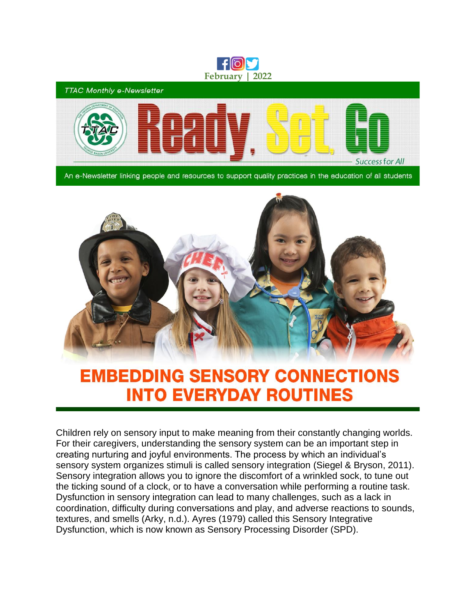

**TTAC Monthly e-Newsletter Successfor All** 

An e-Newsletter linking people and resources to support quality practices in the education of all students



## **EMBEDDING SENSORY CONNECTIONS INTO EVERYDAY ROUTINES**

Children rely on sensory input to make meaning from their constantly changing worlds. For their caregivers, understanding the sensory system can be an important step in creating nurturing and joyful environments. The process by which an individual's sensory system organizes stimuli is called sensory integration (Siegel & Bryson, 2011). Sensory integration allows you to ignore the discomfort of a wrinkled sock, to tune out the ticking sound of a clock, or to have a conversation while performing a routine task. Dysfunction in sensory integration can lead to many challenges, such as a lack in coordination, difficulty during conversations and play, and adverse reactions to sounds, textures, and smells (Arky, n.d.). Ayres (1979) called this Sensory Integrative Dysfunction, which is now known as Sensory Processing Disorder (SPD).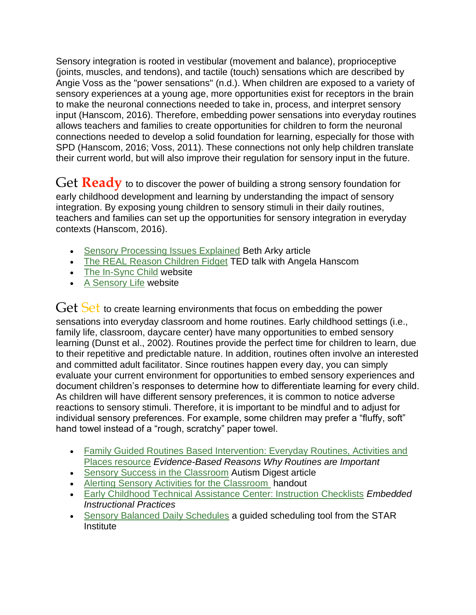Sensory integration is rooted in vestibular (movement and balance), proprioceptive (joints, muscles, and tendons), and tactile (touch) sensations which are described by Angie Voss as the "power sensations" (n.d.). When children are exposed to a variety of sensory experiences at a young age, more opportunities exist for receptors in the brain to make the neuronal connections needed to take in, process, and interpret sensory input (Hanscom, 2016). Therefore, embedding power sensations into everyday routines allows teachers and families to create opportunities for children to form the neuronal connections needed to develop a solid foundation for learning, especially for those with SPD (Hanscom, 2016; Voss, 2011). These connections not only help children translate their current world, but will also improve their regulation for sensory input in the future.

Get **Ready** to to discover the power of building a strong sensory foundation for early childhood development and learning by understanding the impact of sensory integration. By exposing young children to sensory stimuli in their daily routines, teachers and families can set up the opportunities for sensory integration in everyday contexts (Hanscom, 2016).

- [Sensory Processing Issues Explained](https://childmind.org/article/sensory-processing-issues-explained/) Beth Arky article
- [The REAL Reason Children Fidget](https://www.ted.com/talks/angela_hanscom_the_real_reason_children_fidget_and_what_we_can_do_about_it) TED talk with Angela Hanscom
- [The In-Sync Child](https://in-sync-child.com/) website
- [A Sensory Life](https://asensorylife.com/index.html) website

Get Set to create learning environments that focus on embedding the power sensations into everyday classroom and home routines. Early childhood settings (i.e., family life, classroom, daycare center) have many opportunities to embed sensory learning (Dunst et al., 2002). Routines provide the perfect time for children to learn, due to their repetitive and predictable nature. In addition, routines often involve an interested and committed adult facilitator. Since routines happen every day, you can simply evaluate your current environment for opportunities to embed sensory experiences and document children's responses to determine how to differentiate learning for every child. As children will have different sensory preferences, it is common to notice adverse reactions to sensory stimuli. Therefore, it is important to be mindful and to adjust for individual sensory preferences. For example, some children may prefer a "fluffy, soft" hand towel instead of a "rough, scratchy" paper towel.

- [Family Guided Routines Based Intervention: Everyday Routines, Activities and](http://fgrbi.com/everyday-routines-activities-and-places/)  [Places resource](http://fgrbi.com/everyday-routines-activities-and-places/) *[E](http://fgrbi.com/everyday-routines-activities-and-places/)vidence-Based Reasons Why Routines are Important*
- [Sensory Success in the Classroom](https://sensoryhealth.org/sites/default/files/publications/4.%20Sept.-Oct.%202013%20Sensory%20Success%20in%20the%20Classroom.pdf) Autism Digest article
- [Alerting Sensory Activities for the Classroom](http://ttaconline.org/Resource/JWHaEa5BS75es5KZPDvU6A/Resource-alerting-sensory-activities-for-the-classroom) handout
- [Early Childhood Technical Assistance Center: Instruction Checklists](https://ectacenter.org/decrp/type-checklists.asp) *Embedded Instructional Practices*
- [Sensory Balanced Daily Schedules](https://sensoryhealth.org/node/1485) a guided scheduling tool from the STAR Institute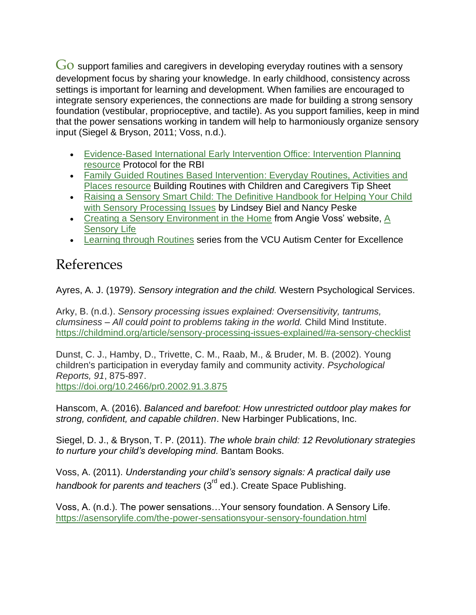$Go$  support families and caregivers in developing everyday routines with a sensory development focus by sharing your knowledge. In early childhood, consistency across settings is important for learning and development. When families are encouraged to integrate sensory experiences, the connections are made for building a strong sensory foundation (vestibular, proprioceptive, and tactile). As you support families, keep in mind that the power sensations working in tandem will help to harmoniously organize sensory input (Siegel & Bryson, 2011; Voss, n.d.).

- [Evidence-Based International Early Intervention Office: Intervention Planning](http://eieio.ua.edu/materials.html)  [resource](http://eieio.ua.edu/materials.html) Protocol for the RBI
- [Family Guided Routines Based Intervention: Everyday Routines, Activities and](http://fgrbi.com/everyday-routines-activities-and-places/)  [Places resource](http://fgrbi.com/everyday-routines-activities-and-places/) Building Routines with Children and Caregivers Tip Sheet
- [Raising a Sensory Smart Child: The Definitive Handbook for Helping Your Child](https://www.sensorysmarts.com/about_book.html)  [with Sensory Processing Issues](https://www.sensorysmarts.com/about_book.html) by Lindsey Biel and Nancy Peske
- [Creating a Sensory Environment in the Home](https://asensorylife.com/sensory-in-the-home.html) from Angie Voss' website, [A](https://asensorylife.com/index.html)  [Sensory Life](https://asensorylife.com/index.html)
- [Learning through Routines](https://vcuautismcenter.org/earlychildhood/families/routines/) series from the VCU Autism Center for Excellence

## References

Ayres, A. J. (1979). *Sensory integration and the child.* Western Psychological Services.

Arky, B. (n.d.). *Sensory processing issues explained: Oversensitivity, tantrums, clumsiness – All could point to problems taking in the world.* Child Mind Institute. <https://childmind.org/article/sensory-processing-issues-explained/#a-sensory-checklist>

[Dunst, C. J., Hamby, D., Trivette, C. M., Raab, M., & Bruder, M. B. \(2002\). Young](https://campaignlp.constantcontact.com/em/1120412605452/e8570733-9b49-4dc7-841f-fd0b553415f7)  [children's](https://campaignlp.constantcontact.com/em/1120412605452/e8570733-9b49-4dc7-841f-fd0b553415f7) participation in everyday family and community activity. *Psychological Reports, 91*, 875-897. <https://doi.org/10.2466/pr0.2002.91.3.875>

Hanscom, A. (2016). *Balanced and barefoot: How unrestricted outdoor play makes for strong, confident, and capable children*. New Harbinger Publications, Inc.

Siegel, D. J., & Bryson, T. P. (2011). *The whole brain child: 12 Revolutionary strategies to nurture your child's developing mind.* Bantam Books.

Voss, A. (2011). *Understanding your child's sensory signals: A practical daily use handbook for parents and teachers* (3<sup>rd</sup> ed.). Create Space Publishing.

Voss, A. (n.d.). The power sensations…Your sensory foundation. A Sensory Life. <https://asensorylife.com/the-power-sensationsyour-sensory-foundation.html>